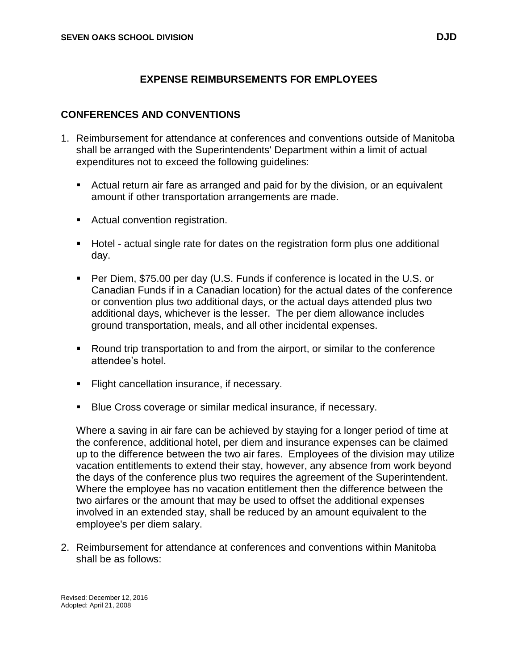# **EXPENSE REIMBURSEMENTS FOR EMPLOYEES**

#### **CONFERENCES AND CONVENTIONS**

- 1. Reimbursement for attendance at conferences and conventions outside of Manitoba shall be arranged with the Superintendents' Department within a limit of actual expenditures not to exceed the following guidelines:
	- Actual return air fare as arranged and paid for by the division, or an equivalent amount if other transportation arrangements are made.
	- **Actual convention registration.**
	- Hotel actual single rate for dates on the registration form plus one additional day.
	- Per Diem, \$75.00 per day (U.S. Funds if conference is located in the U.S. or Canadian Funds if in a Canadian location) for the actual dates of the conference or convention plus two additional days, or the actual days attended plus two additional days, whichever is the lesser. The per diem allowance includes ground transportation, meals, and all other incidental expenses.
	- Round trip transportation to and from the airport, or similar to the conference attendee's hotel.
	- **Flight cancellation insurance, if necessary.**
	- **Blue Cross coverage or similar medical insurance, if necessary.**

Where a saving in air fare can be achieved by staying for a longer period of time at the conference, additional hotel, per diem and insurance expenses can be claimed up to the difference between the two air fares. Employees of the division may utilize vacation entitlements to extend their stay, however, any absence from work beyond the days of the conference plus two requires the agreement of the Superintendent. Where the employee has no vacation entitlement then the difference between the two airfares or the amount that may be used to offset the additional expenses involved in an extended stay, shall be reduced by an amount equivalent to the employee's per diem salary.

2. Reimbursement for attendance at conferences and conventions within Manitoba shall be as follows:

Revised: December 12, 2016 Adopted: April 21, 2008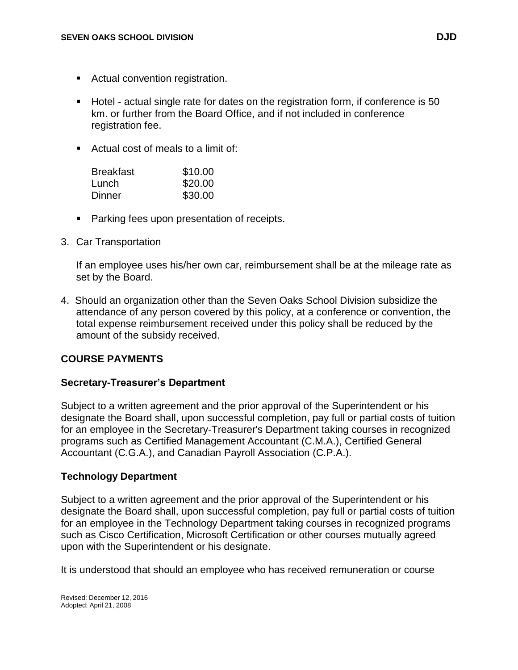- **Actual convention registration.**
- Hotel actual single rate for dates on the registration form, if conference is 50 km. or further from the Board Office, and if not included in conference registration fee.
- Actual cost of meals to a limit of:

| <b>Breakfast</b> | \$10.00 |
|------------------|---------|
| Lunch            | \$20.00 |
| Dinner           | \$30.00 |

- **Parking fees upon presentation of receipts.**
- 3. Car Transportation

If an employee uses his/her own car, reimbursement shall be at the mileage rate as set by the Board.

4. Should an organization other than the Seven Oaks School Division subsidize the attendance of any person covered by this policy, at a conference or convention, the total expense reimbursement received under this policy shall be reduced by the amount of the subsidy received.

# **COURSE PAYMENTS**

## **Secretary-Treasurer's Department**

Subject to a written agreement and the prior approval of the Superintendent or his designate the Board shall, upon successful completion, pay full or partial costs of tuition for an employee in the Secretary-Treasurer's Department taking courses in recognized programs such as Certified Management Accountant (C.M.A.), Certified General Accountant (C.G.A.), and Canadian Payroll Association (C.P.A.).

## **Technology Department**

Subject to a written agreement and the prior approval of the Superintendent or his designate the Board shall, upon successful completion, pay full or partial costs of tuition for an employee in the Technology Department taking courses in recognized programs such as Cisco Certification, Microsoft Certification or other courses mutually agreed upon with the Superintendent or his designate.

It is understood that should an employee who has received remuneration or course